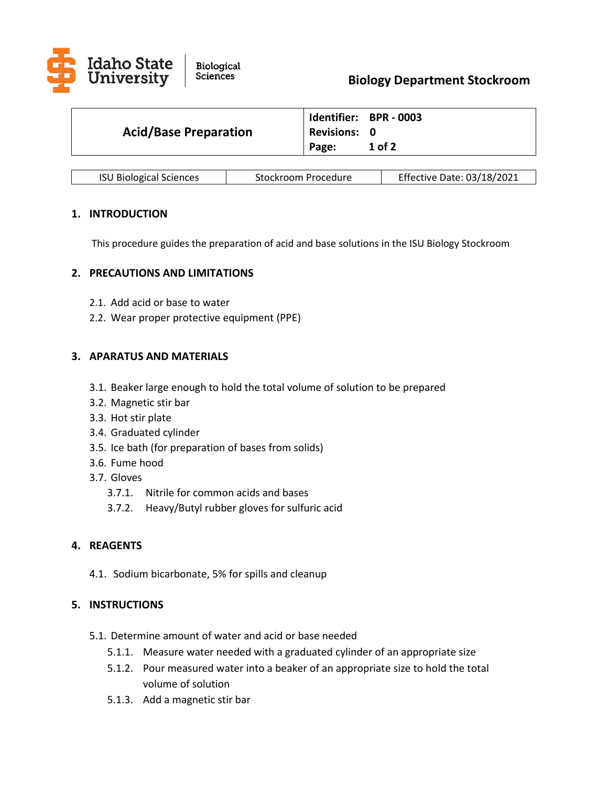

| <b>Acid/Base Preparation</b> |                     | Identifier: BPR - 0003 |
|------------------------------|---------------------|------------------------|
|                              | <b>Revisions: 0</b> |                        |
|                              | Page:               | 1 of 2                 |

| <b>ISU Biological Sciences</b> | Stockroom Procedure | <b>Effective Date: 03/18/2021</b> |
|--------------------------------|---------------------|-----------------------------------|
|--------------------------------|---------------------|-----------------------------------|

## **1. INTRODUCTION**

This procedure guides the preparation of acid and base solutions in the ISU Biology Stockroom

## **2. PRECAUTIONS AND LIMITATIONS**

- 2.1. Add acid or base to water
- 2.2. Wear proper protective equipment (PPE)

## **3. APARATUS AND MATERIALS**

- 3.1. Beaker large enough to hold the total volume of solution to be prepared
- 3.2. Magnetic stir bar
- 3.3. Hot stir plate
- 3.4. Graduated cylinder
- 3.5. Ice bath (for preparation of bases from solids)
- 3.6. Fume hood
- 3.7. Gloves
	- 3.7.1. Nitrile for common acids and bases
	- 3.7.2. Heavy/Butyl rubber gloves for sulfuric acid

# **4. REAGENTS**

4.1. Sodium bicarbonate, 5% for spills and cleanup

## **5. INSTRUCTIONS**

- 5.1. Determine amount of water and acid or base needed
	- 5.1.1. Measure water needed with a graduated cylinder of an appropriate size
	- 5.1.2. Pour measured water into a beaker of an appropriate size to hold the total volume of solution
	- 5.1.3. Add a magnetic stir bar